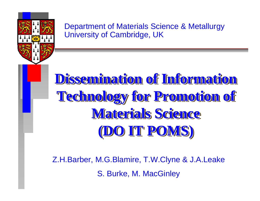

Department of Materials Science & Metallurgy University of Cambridge, UK

# **Dissemination of Information Dissemination of Information Dissemination of Information Technology for Promotion of Technology for Promotion of Technology for Promotion of Materials Science Materials Science Materials Science (DO IT POMS) (DO IT POMS)**

Z.H.Barber, M.G.Blamire, T.W.Clyne & J.A.Leake S. Burke, M. MacGinley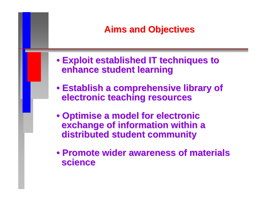## **Aims and Objectives Aims and Objectives**

- **Exploit established IT techniques to Exploit established IT techniques to enhance student learning enhance student learning**
- **Establish a comprehensive library of Establish a comprehensive library of electronic teaching resources electronic teaching resources**
- **Optimise a model for electronic Optimise a model for electronic exchange of information within a exchange of information within a distributed student community distributed student community**
- **Promote wider awareness of materials Promote wider awareness of materialsscience science**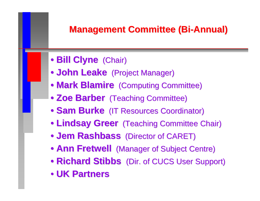## **Management Committee ( Management Committee (Bi -Annual) Annual)**

- **Bill Clyne** (Chair)
- **John Leake** (Project Manager)
- **Mark Blamire** (Computing Committee)
- **Zoe Barber** (Teaching Committee)
- **Sam Burke** (IT Resources Coordinator)
- **Lindsay Greer** (Teaching Committee Chair)
- **Jem Rashbass** (Director of CARET)
- **Ann Fretwell** (Manager of Subject Centre)
- **Richard Stibbs** (Dir. of CUCS User Support)
- **UK Partners UK Partners**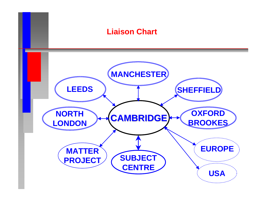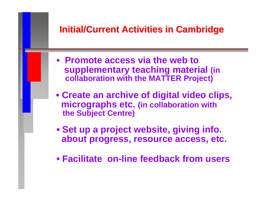## **Initial/Current Activities in Cambridge Initial/Current Activities in Cambridge**

- **Promote access via the web to supplementary teaching material (in collaboration with the MATTER Project)**
- **Create an archive of digital video clips, micrographs etc. (in collaboration with the Subject Centre)**
- **Set up a project website, giving info. about progress, resource access, etc.**
- **Facilitate on-line feedback from users**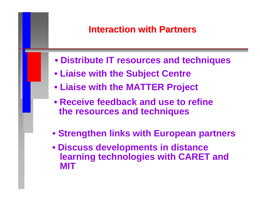#### **Interaction with Partners Interaction with Partners**

- **Distribute IT resources and techniques**
- **Liaise with the Subject Centre**
- **Liaise with the MATTER Project**
- **Receive feedback and use to refine the resources and techniques**
- **Strengthen links with European partners**
- **Discuss developments in distance learning technologies with CARET and MIT**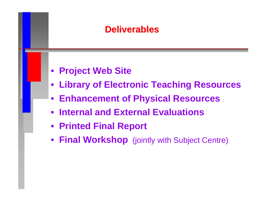#### **Deliverables Deliverables**

- **Project Web Site**
- **Library of Electronic Teaching Resources**
- **Enhancement of Physical Resources**
- **Internal and External Evaluations**
- **Printed Final Report**
- **Final Workshop** (jointly with Subject Centre)